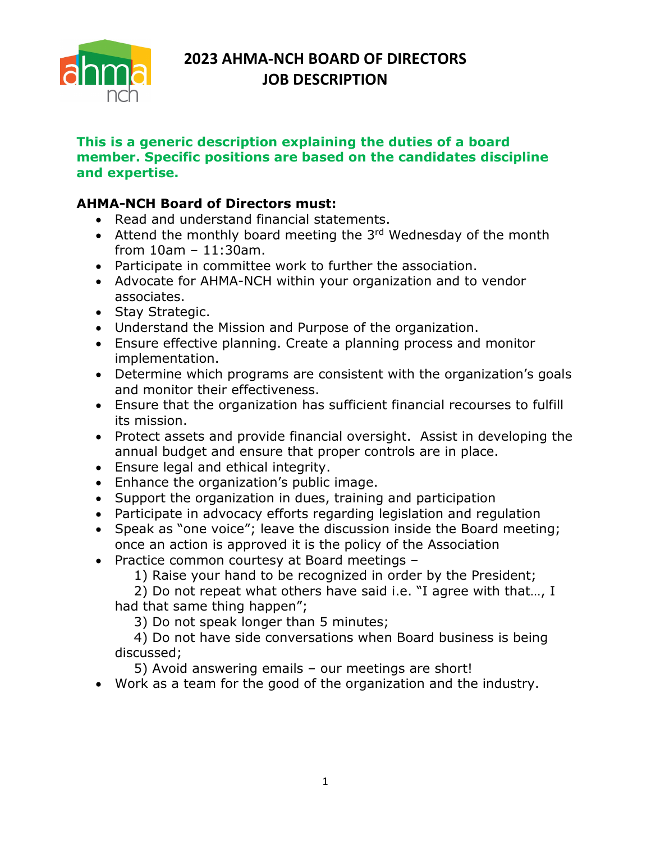

# **2023 AHMA-NCH BOARD OF DIRECTORS JOB DESCRIPTION**

#### **This is a generic description explaining the duties of a board member. Specific positions are based on the candidates discipline and expertise.**

### **AHMA-NCH Board of Directors must:**

- Read and understand financial statements.
- Attend the monthly board meeting the 3rd Wednesday of the month from 10am – 11:30am.
- Participate in committee work to further the association.
- Advocate for AHMA-NCH within your organization and to vendor associates.
- Stay Strategic.
- Understand the Mission and Purpose of the organization.
- Ensure effective planning. Create a planning process and monitor implementation.
- Determine which programs are consistent with the organization's goals and monitor their effectiveness.
- Ensure that the organization has sufficient financial recourses to fulfill its mission.
- Protect assets and provide financial oversight. Assist in developing the annual budget and ensure that proper controls are in place.
- Ensure legal and ethical integrity.
- Enhance the organization's public image.
- Support the organization in dues, training and participation
- Participate in advocacy efforts regarding legislation and regulation
- Speak as "one voice"; leave the discussion inside the Board meeting; once an action is approved it is the policy of the Association
- Practice common courtesy at Board meetings –

1) Raise your hand to be recognized in order by the President;

2) Do not repeat what others have said i.e. "I agree with that…, I had that same thing happen";

3) Do not speak longer than 5 minutes;

4) Do not have side conversations when Board business is being discussed;

5) Avoid answering emails – our meetings are short!

• Work as a team for the good of the organization and the industry.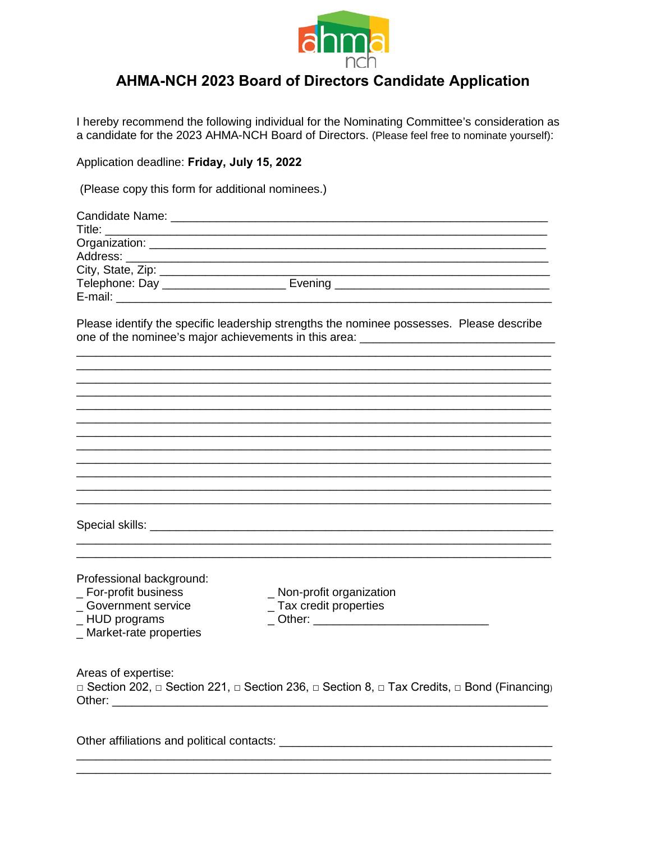

## **AHMA-NCH 2023 Board of Directors Candidate Application**

I hereby recommend the following individual for the Nominating Committee's consideration as a candidate for the 2023 AHMA-NCH Board of Directors. (Please feel free to nominate yourself):

Application deadline: Friday, July 15, 2022

(Please copy this form for additional nominees.)

| Telephone: Day _______________________ Evening _________________________________          |  |
|-------------------------------------------------------------------------------------------|--|
|                                                                                           |  |
|                                                                                           |  |
| Dlease identify the considio leadership etrapathe the nomines necessages. Dlease describe |  |

Please identify the specific leadership strengths the nominee possesses. Please describe 

|                                            | <u> 1990 - John Harry Harry Harry Harry Harry Harry Harry Harry Harry Harry Harry Harry Harry Harry Harry Harry</u> |
|--------------------------------------------|---------------------------------------------------------------------------------------------------------------------|
|                                            |                                                                                                                     |
|                                            |                                                                                                                     |
|                                            |                                                                                                                     |
|                                            |                                                                                                                     |
|                                            |                                                                                                                     |
|                                            |                                                                                                                     |
|                                            |                                                                                                                     |
|                                            |                                                                                                                     |
|                                            |                                                                                                                     |
| Professional background:                   |                                                                                                                     |
| _ For-profit business                      | _ Non-profit organization                                                                                           |
| _Government service                        | _ Tax credit properties                                                                                             |
| _HUD programs                              |                                                                                                                     |
| _ Market-rate properties                   |                                                                                                                     |
|                                            |                                                                                                                     |
| Areas of expertise:                        |                                                                                                                     |
|                                            | □ Section 202, □ Section 221, □ Section 236, □ Section 8, □ Tax Credits, □ Bond (Financing)                         |
|                                            |                                                                                                                     |
|                                            |                                                                                                                     |
| Other affiliations and political contacts: |                                                                                                                     |